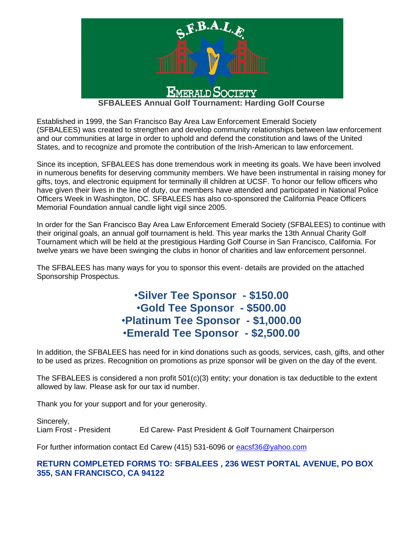

Established in 1999, the San Francisco Bay Area Law Enforcement Emerald Society (SFBALEES) was created to strengthen and develop community relationships between law enforcement and our communities at large in order to uphold and defend the constitution and laws of the United States, and to recognize and promote the contribution of the Irish-American to law enforcement.

Since its inception, SFBALEES has done tremendous work in meeting its goals. We have been involved in numerous benefits for deserving community members. We have been instrumental in raising money for gifts, toys, and electronic equipment for terminally ill children at UCSF. To honor our fellow officers who have given their lives in the line of duty, our members have attended and participated in National Police Officers Week in Washington, DC. SFBALEES has also co-sponsored the California Peace Officers Memorial Foundation annual candle light vigil since 2005.

In order for the San Francisco Bay Area Law Enforcement Emerald Society (SFBALEES) to continue with their original goals, an annual golf tournament is held. This year marks the 13th Annual Charity Golf Tournament which will be held at the prestigious Harding Golf Course in San Francisco, California. For twelve years we have been swinging the clubs in honor of charities and law enforcement personnel.

The SFBALEES has many ways for you to sponsor this event- details are provided on the attached Sponsorship Prospectus.

# •**Silver Tee Sponsor - \$150.00** •**Gold Tee Sponsor - \$500.00** •**Platinum Tee Sponsor - \$1,000.00** •**Emerald Tee Sponsor - \$2,500.00**

In addition, the SFBALEES has need for in kind donations such as goods, services, cash, gifts, and other to be used as prizes. Recognition on promotions as prize sponsor will be given on the day of the event.

The SFBALEES is considered a non profit 501(c)(3) entity; your donation is tax deductible to the extent allowed by law. Please ask for our tax id number.

Thank you for your support and for your generosity.

Sincerely, Liam Frost - President Ed Carew- Past President & Golf Tournament Chairperson

For further information contact Ed Carew (415) 531-6096 or [eacsf36@yahoo.com](mailto:eacsf36@yahoo.com)

### **RETURN COMPLETED FORMS TO: SFBALEES , 236 WEST PORTAL AVENUE, PO BOX 355, SAN FRANCISCO, CA 94122**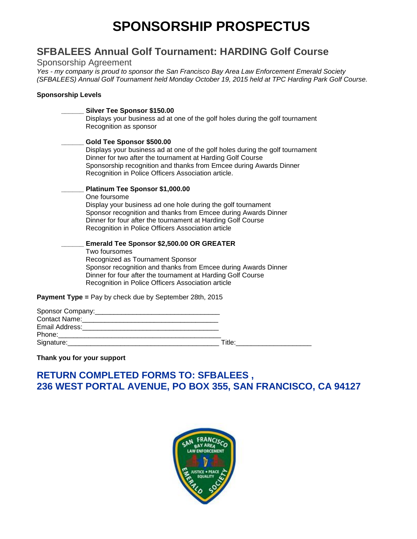# **SPONSORSHIP PROSPECTUS**

# **SFBALEES Annual Golf Tournament: HARDING Golf Course**

#### Sponsorship Agreement

*Yes - my company is proud to sponsor the San Francisco Bay Area Law Enforcement Emerald Society (SFBALEES) Annual Golf Tournament held Monday October 19, 2015 held at TPC Harding Park Golf Course.*

#### **Sponsorship Levels**

| Silver Tee Sponsor \$150.00<br>Displays your business ad at one of the golf holes during the golf tournament<br>Recognition as sponsor                                                                                                                                                                 |
|--------------------------------------------------------------------------------------------------------------------------------------------------------------------------------------------------------------------------------------------------------------------------------------------------------|
| Gold Tee Sponsor \$500.00<br>Displays your business ad at one of the golf holes during the golf tournament<br>Dinner for two after the tournament at Harding Golf Course<br>Sponsorship recognition and thanks from Emcee during Awards Dinner<br>Recognition in Police Officers Association article.  |
| Platinum Tee Sponsor \$1,000.00<br>One foursome<br>Display your business ad one hole during the golf tournament<br>Sponsor recognition and thanks from Emcee during Awards Dinner<br>Dinner for four after the tournament at Harding Golf Course<br>Recognition in Police Officers Association article |
| <b>Emerald Tee Sponsor \$2,500.00 OR GREATER</b><br>Two foursomes<br>Recognized as Tournament Sponsor<br>Sponsor recognition and thanks from Emcee during Awards Dinner<br>Dinner for four after the tournament at Harding Golf Course<br>Recognition in Police Officers Association article           |
| <b>Payment Type = Pay by check due by September 28th, 2015</b>                                                                                                                                                                                                                                         |

| Sponsor Company: ________________ |        |
|-----------------------------------|--------|
| Contact Name:                     |        |
| Email Address:                    |        |
| Phone:                            |        |
| Signature:                        | Title: |

#### **Thank you for your support**

# **RETURN COMPLETED FORMS TO: SFBALEES , 236 WEST PORTAL AVENUE, PO BOX 355, SAN FRANCISCO, CA 94127**